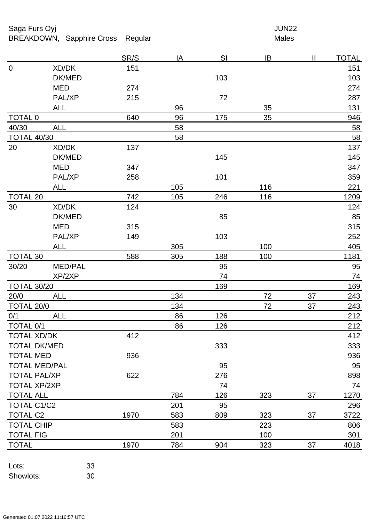# Saga Furs Oyj and the Saga Furs Oyj and the Saga Furs of the Saga Furs of the Saga Furs of the Saga Furs of the Saga Furs of the Saga Furs of the Saga Furs of the Saga Furs of the Saga Furs of the Saga Furs of the Saga Fur

BREAKDOWN, Sapphire Cross Regular Males

|                      |                | SR/S | <u>IA</u> | SI  | IB  | $\mathbf{H}$ | <b>TOTAL</b>     |
|----------------------|----------------|------|-----------|-----|-----|--------------|------------------|
| $\mathbf 0$          | XD/DK          | 151  |           |     |     |              | 151              |
|                      | DK/MED         |      |           | 103 |     |              | 103              |
|                      | <b>MED</b>     | 274  |           |     |     |              | 274              |
|                      | PAL/XP         | 215  |           | 72  |     |              | 287              |
|                      | ALL            |      | 96        |     | 35  |              | 131              |
| <b>TOTAL 0</b>       |                | 640  | 96        | 175 | 35  |              | 946              |
| 40/30                | <b>ALL</b>     |      | 58        |     |     |              | 58               |
| <b>TOTAL 40/30</b>   |                |      | 58        |     |     |              | $\underline{58}$ |
| 20                   | XD/DK          | 137  |           |     |     |              | 137              |
|                      | DK/MED         |      |           | 145 |     |              | 145              |
|                      | <b>MED</b>     | 347  |           |     |     |              | 347              |
|                      | PAL/XP         | 258  |           | 101 |     |              | 359              |
|                      | <b>ALL</b>     |      | 105       |     | 116 |              | 221              |
| <b>TOTAL 20</b>      |                | 742  | 105       | 246 | 116 |              | 1209             |
| 30                   | XD/DK          | 124  |           |     |     |              | 124              |
|                      | DK/MED         |      |           | 85  |     |              | 85               |
|                      | <b>MED</b>     | 315  |           |     |     |              | 315              |
|                      | PAL/XP         | 149  |           | 103 |     |              | 252              |
|                      | <b>ALL</b>     |      | 305       |     | 100 |              | 405              |
| <b>TOTAL 30</b>      |                | 588  | 305       | 188 | 100 |              | 1181             |
| 30/20                | <b>MED/PAL</b> |      |           | 95  |     |              | 95               |
|                      | XP/2XP         |      |           | 74  |     |              | 74               |
| <b>TOTAL 30/20</b>   |                |      |           | 169 |     |              | <u>169</u>       |
| 20/0                 | <b>ALL</b>     |      | 134       |     | 72  | 37           | 243              |
| TOTAL 20/0           |                |      | 134       |     | 72  | 37           | 243              |
| 0/1                  | <b>ALL</b>     |      | 86        | 126 |     |              | <u>212</u>       |
| TOTAL 0/1            |                |      | 86        | 126 |     |              | 212              |
| <b>TOTAL XD/DK</b>   |                | 412  |           |     |     |              | 412              |
| <b>TOTAL DK/MED</b>  |                |      |           | 333 |     |              | 333              |
| <b>TOTAL MED</b>     |                | 936  |           |     |     |              | 936              |
| <b>TOTAL MED/PAL</b> |                |      |           | 95  |     |              | 95               |
| <b>TOTAL PAL/XP</b>  |                | 622  |           | 276 |     |              | 898              |
| <b>TOTAL XP/2XP</b>  |                |      |           | 74  |     |              | 74               |
| <b>TOTAL ALL</b>     |                |      | 784       | 126 | 323 | 37           | 1270             |
| <b>TOTAL C1/C2</b>   |                |      | 201       | 95  |     |              | 296              |
| <b>TOTAL C2</b>      |                | 1970 | 583       | 809 | 323 | 37           | 3722             |
| <b>TOTAL CHIP</b>    |                |      | 583       |     | 223 |              | 806              |
| <b>TOTAL FIG</b>     |                |      | 201       |     | 100 |              | 301              |
| <b>TOTAL</b>         |                | 1970 | 784       | 904 | 323 | 37           | 4018             |
|                      |                |      |           |     |     |              |                  |

### Lots: 33 Showlots: 30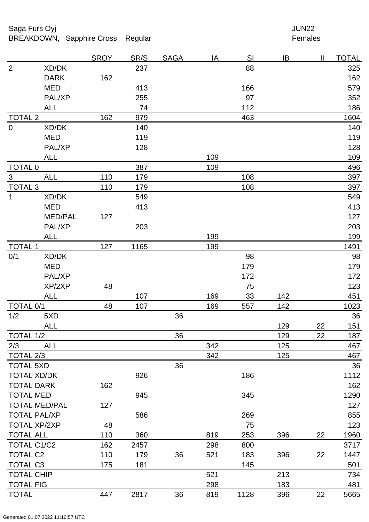## Saga Furs Oyj and the Saga Furs Oyj and the Saga Furs of the Saga Furs of the Saga Furs of the Saga Furs of the Saga Furs of the Saga Furs of the Saga Furs of the Saga Furs of the Saga Furs of the Saga Furs of the Saga Fur BREAKDOWN, Sapphire Cross Regular Females

|                      |                | <b>SROY</b> | SR/S | <b>SAGA</b> | <u>IA</u> | SI   | $\overline{1}$ | $\mathbf{I}$ | <u>TOTAL</u> |
|----------------------|----------------|-------------|------|-------------|-----------|------|----------------|--------------|--------------|
| $\overline{2}$       | XD/DK          |             | 237  |             |           | 88   |                |              | 325          |
|                      | <b>DARK</b>    | 162         |      |             |           |      |                |              | 162          |
|                      | <b>MED</b>     |             | 413  |             |           | 166  |                |              | 579          |
|                      | PAL/XP         |             | 255  |             |           | 97   |                |              | 352          |
|                      | ALL            |             | 74   |             |           | 112  |                |              | 186          |
| <b>TOTAL 2</b>       |                | 162         | 979  |             |           | 463  |                |              | 1604         |
| $\mathbf 0$          | XD/DK          |             | 140  |             |           |      |                |              | 140          |
|                      | <b>MED</b>     |             | 119  |             |           |      |                |              | 119          |
|                      | PAL/XP         |             | 128  |             |           |      |                |              | 128          |
|                      | <b>ALL</b>     |             |      |             | 109       |      |                |              | 109          |
| <b>TOTAL 0</b>       |                |             | 387  |             | 109       |      |                |              | 496          |
| $\overline{3}$       | <b>ALL</b>     | 110         | 179  |             |           | 108  |                |              | 397          |
| <b>TOTAL 3</b>       |                | 110         | 179  |             |           | 108  |                |              | 397          |
| $\mathbf{1}$         | XD/DK          |             | 549  |             |           |      |                |              | 549          |
|                      | <b>MED</b>     |             | 413  |             |           |      |                |              | 413          |
|                      | <b>MED/PAL</b> | 127         |      |             |           |      |                |              | 127          |
|                      | PAL/XP         |             | 203  |             |           |      |                |              | 203          |
|                      | <b>ALL</b>     |             |      |             | 199       |      |                |              | 199          |
| <b>TOTAL 1</b>       |                | 127         | 1165 |             | 199       |      |                |              | 1491         |
| 0/1                  | XD/DK          |             |      |             |           | 98   |                |              | 98           |
|                      | <b>MED</b>     |             |      |             |           | 179  |                |              | 179          |
|                      | PAL/XP         |             |      |             |           | 172  |                |              | 172          |
|                      | XP/2XP         | 48          |      |             |           | 75   |                |              | 123          |
|                      | <b>ALL</b>     |             | 107  |             | 169       | 33   | 142            |              | 451          |
| TOTAL 0/1            |                | 48          | 107  |             | 169       | 557  | 142            |              | 1023         |
| 1/2                  | 5XD            |             |      | 36          |           |      |                |              | 36           |
|                      | <b>ALL</b>     |             |      |             |           |      | <u>129</u>     | 22           | 151          |
| <b>TOTAL 1/2</b>     |                |             |      | 36          |           |      | 129            | 22           | 187          |
| 2/3                  | <b>ALL</b>     |             |      |             | 342       |      | 125            |              | 467          |
| TOTAL 2/3            |                |             |      |             | 342       |      | 125            |              | 467          |
| <b>TOTAL 5XD</b>     |                |             |      | 36          |           |      |                |              | 36           |
| <b>TOTAL XD/DK</b>   |                |             | 926  |             |           | 186  |                |              | 1112         |
| <b>TOTAL DARK</b>    |                | 162         |      |             |           |      |                |              | 162          |
| <b>TOTAL MED</b>     |                |             | 945  |             |           | 345  |                |              | 1290         |
| <b>TOTAL MED/PAL</b> |                | 127         |      |             |           |      |                |              | 127          |
| <b>TOTAL PAL/XP</b>  |                |             | 586  |             |           | 269  |                |              | 855          |
| <b>TOTAL XP/2XP</b>  |                | 48          |      |             |           | 75   |                |              | 123          |
| <b>TOTAL ALL</b>     |                | 110         | 360  |             | 819       | 253  | 396            | 22           | 1960         |
| TOTAL C1/C2          |                | 162         | 2457 |             | 298       | 800  |                |              | 3717         |
| <b>TOTAL C2</b>      |                | 110         | 179  | 36          | 521       | 183  | 396            | 22           | 1447         |
| <b>TOTAL C3</b>      |                | 175         | 181  |             |           | 145  |                |              | 501          |
| <b>TOTAL CHIP</b>    |                |             |      |             | 521       |      | 213            |              | 734          |
| <b>TOTAL FIG</b>     |                |             |      |             | 298       |      | 183            |              | 481          |
| <b>TOTAL</b>         |                | 447         | 2817 | 36          | 819       | 1128 | 396            | 22           | 5665         |